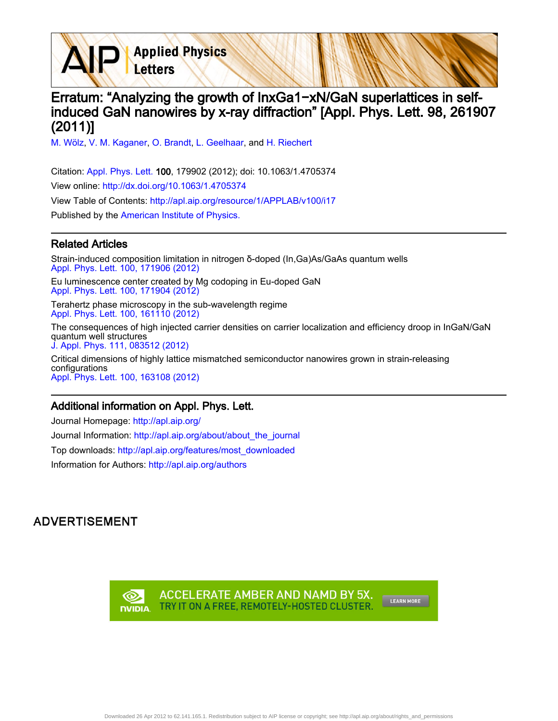**Applied Physics** Letters

# Erratum: "Analyzing the growth of InxGa1−xN/GaN superlattices in selfinduced GaN nanowires by x-ray diffraction" [Appl. Phys. Lett. 98, 261907 (2011)]

[M. Wölz](http://apl.aip.org/search?sortby=newestdate&q=&searchzone=2&searchtype=searchin&faceted=faceted&key=AIP_ALL&possible1=M. W�lz&possible1zone=author&alias=&displayid=AIP&ver=pdfcov), [V. M. Kaganer](http://apl.aip.org/search?sortby=newestdate&q=&searchzone=2&searchtype=searchin&faceted=faceted&key=AIP_ALL&possible1=V. M. Kaganer&possible1zone=author&alias=&displayid=AIP&ver=pdfcov), [O. Brandt,](http://apl.aip.org/search?sortby=newestdate&q=&searchzone=2&searchtype=searchin&faceted=faceted&key=AIP_ALL&possible1=O. Brandt&possible1zone=author&alias=&displayid=AIP&ver=pdfcov) [L. Geelhaar,](http://apl.aip.org/search?sortby=newestdate&q=&searchzone=2&searchtype=searchin&faceted=faceted&key=AIP_ALL&possible1=L. Geelhaar&possible1zone=author&alias=&displayid=AIP&ver=pdfcov) and [H. Riechert](http://apl.aip.org/search?sortby=newestdate&q=&searchzone=2&searchtype=searchin&faceted=faceted&key=AIP_ALL&possible1=H. Riechert&possible1zone=author&alias=&displayid=AIP&ver=pdfcov)

Citation: [Appl. Phys. Lett. 1](http://apl.aip.org/?ver=pdfcov)00, 179902 (2012); doi: 10.1063/1.4705374 View online: [http://dx.doi.org/10.1063/1.4705374](http://link.aip.org/link/doi/10.1063/1.4705374?ver=pdfcov) View Table of Contents: [http://apl.aip.org/resource/1/APPLAB/v100/i17](http://apl.aip.org/resource/1/APPLAB/v100/i17?ver=pdfcov) Published by the [American Institute of Physics.](http://www.aip.org/?ver=pdfcov)

#### Related Articles

Strain-induced composition limitation in nitrogen δ-doped (In,Ga)As/GaAs quantum wells [Appl. Phys. Lett. 100, 171906 \(2012\)](http://link.aip.org/link/doi/10.1063/1.4705731?ver=pdfcov)

Eu luminescence center created by Mg codoping in Eu-doped GaN [Appl. Phys. Lett. 100, 171904 \(2012\)](http://link.aip.org/link/doi/10.1063/1.4704920?ver=pdfcov)

Terahertz phase microscopy in the sub-wavelength regime [Appl. Phys. Lett. 100, 161110 \(2012\)](http://link.aip.org/link/doi/10.1063/1.4705294?ver=pdfcov)

The consequences of high injected carrier densities on carrier localization and efficiency droop in InGaN/GaN quantum well structures [J. Appl. Phys. 111, 083512 \(2012\)](http://link.aip.org/link/doi/10.1063/1.3703062?ver=pdfcov)

Critical dimensions of highly lattice mismatched semiconductor nanowires grown in strain-releasing configurations [Appl. Phys. Lett. 100, 163108 \(2012\)](http://link.aip.org/link/doi/10.1063/1.4704565?ver=pdfcov)

### Additional information on Appl. Phys. Lett.

Journal Homepage: [http://apl.aip.org/](http://apl.aip.org/?ver=pdfcov)

Journal Information: [http://apl.aip.org/about/about\\_the\\_journal](http://apl.aip.org/about/about_the_journal?ver=pdfcov)

Top downloads: [http://apl.aip.org/features/most\\_downloaded](http://apl.aip.org/features/most_downloaded?ver=pdfcov)

Information for Authors: [http://apl.aip.org/authors](http://apl.aip.org/authors?ver=pdfcov)

## **ADVERTISEMENT**

ACCELERATE AMBER AND NAMD BY 5X. ∞ TRY IT ON A FREE, REMOTELY-HOSTED CLUSTER. **DVIDIA** 

LEARN MORE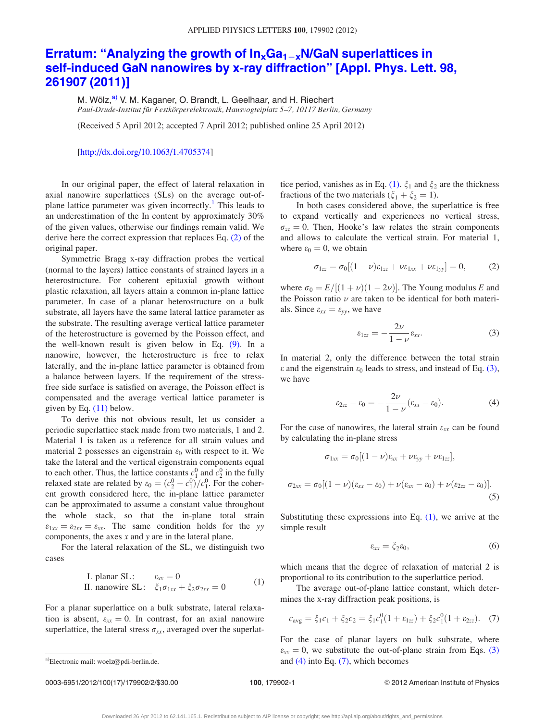# <span id="page-1-0"></span>Erratum: "Analyzing the growth of  $In_xGa_{1-x}N/GaN$  superlattices in [self-induced GaN nanowires by x-ray diffraction" \[Appl. Phys. Lett. 98,](http://dx.doi.org/10.1063/1.4705374) [261907 \(2011\)\]](http://dx.doi.org/10.1063/1.4705374)

M. Wölz,<sup>a)</sup> V. M. Kaganer, O. Brandt, L. Geelhaar, and H. Riechert Paul-Drude-Institut für Festkörperelektronik, Hausvogteiplatz 5–7, 10117 Berlin, Germany

(Received 5 April 2012; accepted 7 April 2012; published online 25 April 2012)

#### [\[http://dx.doi.org/10.1063/1.4705374](http://dx.doi.org/10.1063/1.4705374)]

In our original paper, the effect of lateral relaxation in axial nanowire superlattices (SLs) on the average out-of-plane lattice parameter was given incorrectly.<sup>[1](#page-2-0)</sup> This leads to an underestimation of the In content by approximately 30% of the given values, otherwise our findings remain valid. We derive here the correct expression that replaces Eq. (2) of the original paper.

Symmetric Bragg x-ray diffraction probes the vertical (normal to the layers) lattice constants of strained layers in a heterostructure. For coherent epitaxial growth without plastic relaxation, all layers attain a common in-plane lattice parameter. In case of a planar heterostructure on a bulk substrate, all layers have the same lateral lattice parameter as the substrate. The resulting average vertical lattice parameter of the heterostructure is governed by the Poisson effect, and the well-known result is given below in Eq. [\(9\)](#page-2-0). In a nanowire, however, the heterostructure is free to relax laterally, and the in-plane lattice parameter is obtained from a balance between layers. If the requirement of the stressfree side surface is satisfied on average, the Poisson effect is compensated and the average vertical lattice parameter is given by Eq. [\(11\)](#page-2-0) below.

To derive this not obvious result, let us consider a periodic superlattice stack made from two materials, 1 and 2. Material 1 is taken as a reference for all strain values and material 2 possesses an eigenstrain  $\varepsilon_0$  with respect to it. We take the lateral and the vertical eigenstrain components equal to each other. Thus, the lattice constants  $c_1^0$  and  $c_2^0$  in the fully relaxed state are related by  $\varepsilon_0 = (c_2^0 - c_1^0)/c_1^0$ . For the coherent growth considered here, the in-plane lattice parameter can be approximated to assume a constant value throughout the whole stack, so that the in-plane total strain  $\varepsilon_{1xx} = \varepsilon_{2xx} = \varepsilon_{xx}$ . The same condition holds for the yy components, the axes  $x$  and  $y$  are in the lateral plane.

For the lateral relaxation of the SL, we distinguish two cases

I. planar SL: 
$$
\varepsilon_{xx} = 0
$$
  
\nII. nanowire SL:  $\xi_1 \sigma_{1xx} + \xi_2 \sigma_{2xx} = 0$  (1)

For a planar superlattice on a bulk substrate, lateral relaxation is absent,  $\varepsilon_{xx} = 0$ . In contrast, for an axial nanowire superlattice, the lateral stress  $\sigma_{xx}$ , averaged over the superlat-

0003-6951/2012/100(17)/179902/2/\$30.00 100, 179902-1 © 2012 American Institute of Physics

tice period, vanishes as in Eq. (1).  $\xi_1$  and  $\xi_2$  are the thickness fractions of the two materials  $(\xi_1 + \xi_2 = 1)$ .

In both cases considered above, the superlattice is free to expand vertically and experiences no vertical stress,  $\sigma_{zz} = 0$ . Then, Hooke's law relates the strain components and allows to calculate the vertical strain. For material 1, where  $\varepsilon_0 = 0$ , we obtain

$$
\sigma_{1zz} = \sigma_0[(1-\nu)\varepsilon_{1zz} + \nu\varepsilon_{1xx} + \nu\varepsilon_{1yy}] = 0, \qquad (2)
$$

where  $\sigma_0 = E/[(1 + \nu)(1 - 2\nu)]$ . The Young modulus E and the Poisson ratio  $\nu$  are taken to be identical for both materials. Since  $\varepsilon_{xx} = \varepsilon_{yy}$ , we have

$$
\varepsilon_{1zz} = -\frac{2\nu}{1-\nu}\varepsilon_{xx}.\tag{3}
$$

In material 2, only the difference between the total strain  $\varepsilon$  and the eigenstrain  $\varepsilon_0$  leads to stress, and instead of Eq. (3), we have

$$
\varepsilon_{2zz} - \varepsilon_0 = -\frac{2\nu}{1-\nu} (\varepsilon_{xx} - \varepsilon_0).
$$
 (4)

For the case of nanowires, the lateral strain  $\varepsilon_{xx}$  can be found by calculating the in-plane stress

$$
\sigma_{1xx} = \sigma_0[(1-\nu)\varepsilon_{xx} + \nu \varepsilon_{yy} + \nu \varepsilon_{1zz}],
$$
  

$$
\sigma_{2xx} = \sigma_0[(1-\nu)(\varepsilon_{xx} - \varepsilon_0) + \nu(\varepsilon_{xx} - \varepsilon_0) + \nu(\varepsilon_{2zz} - \varepsilon_0)].
$$
  
(5)

Substituting these expressions into Eq.  $(1)$ , we arrive at the simple result

$$
\varepsilon_{xx} = \xi_2 \varepsilon_0,\tag{6}
$$

which means that the degree of relaxation of material 2 is proportional to its contribution to the superlattice period.

The average out-of-plane lattice constant, which determines the x-ray diffraction peak positions, is

$$
c_{\text{avg}} = \xi_1 c_1 + \xi_2 c_2 = \xi_1 c_1^0 (1 + \varepsilon_{1zz}) + \xi_2 c_1^0 (1 + \varepsilon_{2zz}). \tag{7}
$$

For the case of planar layers on bulk substrate, where  $\varepsilon_{xx} = 0$ , we substitute the out-of-plane strain from Eqs. (3) a)Electronic mail: woelz@pdi-berlin.de. **a** and (4) into Eq. (7), which becomes